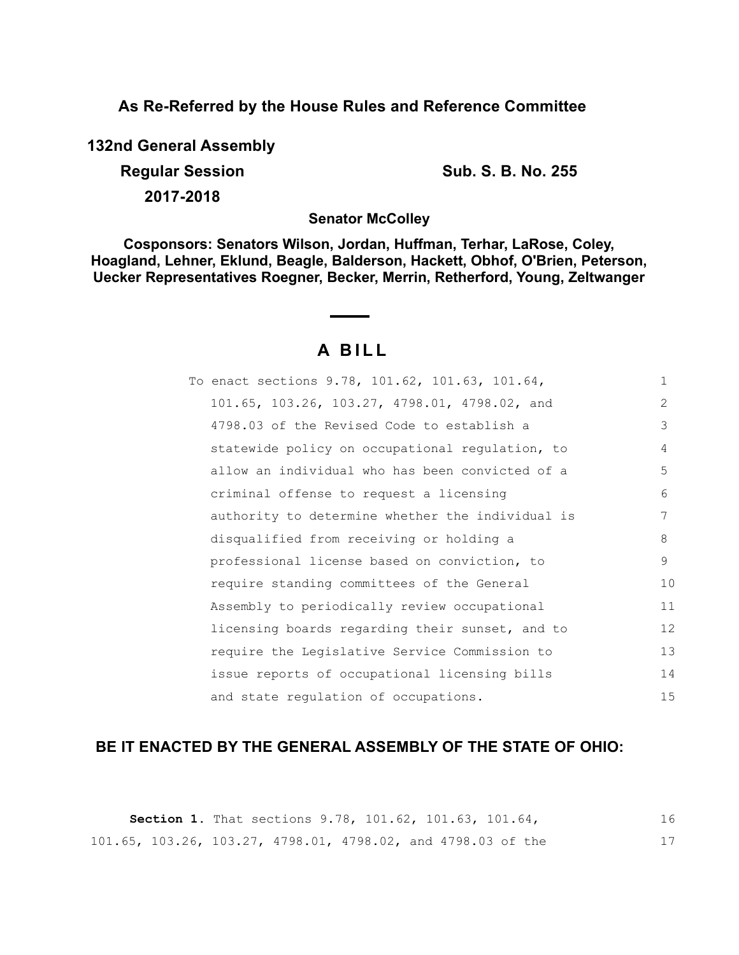**As Re-Referred by the House Rules and Reference Committee**

**132nd General Assembly**

**Regular Session Sub. S. B. No. 255** 

**2017-2018**

**Senator McColley**

**Cosponsors: Senators Wilson, Jordan, Huffman, Terhar, LaRose, Coley, Hoagland, Lehner, Eklund, Beagle, Balderson, Hackett, Obhof, O'Brien, Peterson, Uecker Representatives Roegner, Becker, Merrin, Retherford, Young, Zeltwanger**

# **A B I L L**

| To enact sections 9.78, 101.62, 101.63, 101.64,  | $\mathbf{1}$   |
|--------------------------------------------------|----------------|
| 101.65, 103.26, 103.27, 4798.01, 4798.02, and    | $\overline{2}$ |
| 4798.03 of the Revised Code to establish a       | 3              |
| statewide policy on occupational regulation, to  | 4              |
| allow an individual who has been convicted of a  | 5              |
| criminal offense to request a licensing          | 6              |
| authority to determine whether the individual is | 7              |
| disqualified from receiving or holding a         | 8              |
| professional license based on conviction, to     | 9              |
| require standing committees of the General       | 10             |
| Assembly to periodically review occupational     | 11             |
| licensing boards regarding their sunset, and to  | 12             |
| require the Legislative Service Commission to    | 13             |
| issue reports of occupational licensing bills    | 14             |
| and state regulation of occupations.             | 15             |

## **BE IT ENACTED BY THE GENERAL ASSEMBLY OF THE STATE OF OHIO:**

|  |  | <b>Section 1.</b> That sections 9.78, 101.62, 101.63, 101.64, |  |
|--|--|---------------------------------------------------------------|--|
|  |  | 101.65, 103.26, 103.27, 4798.01, 4798.02, and 4798.03 of the  |  |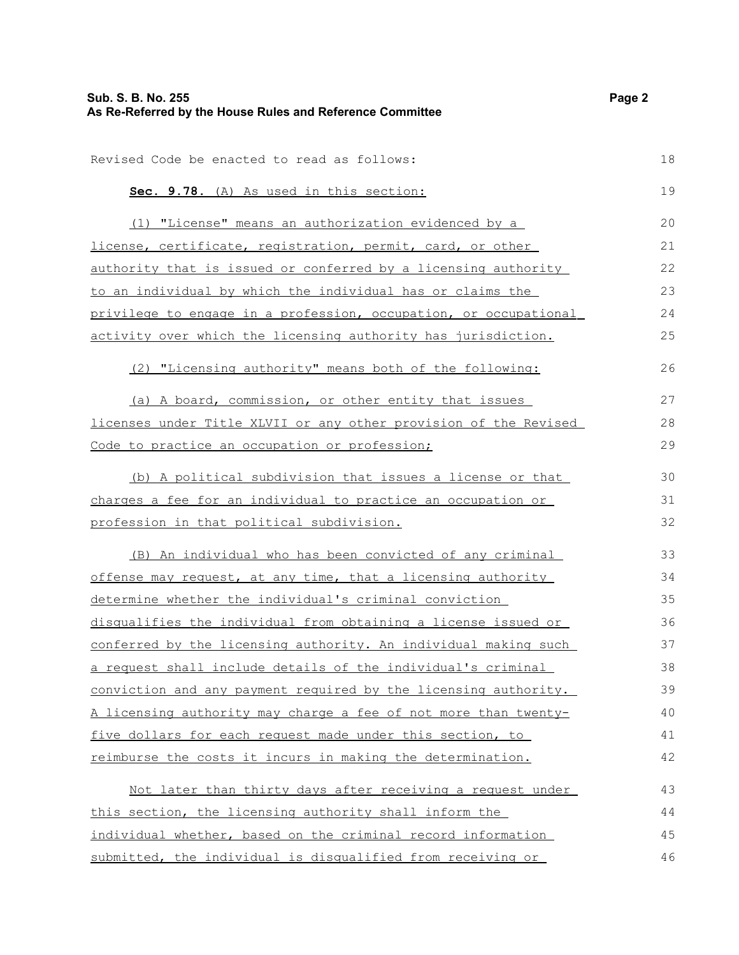| Sub. S. B. No. 255<br>As Re-Referred by the House Rules and Reference Committee | Page 2 |
|---------------------------------------------------------------------------------|--------|
| Revised Code be enacted to read as follows:                                     | 18     |
|                                                                                 |        |
| Sec. 9.78. (A) As used in this section:                                         | 19     |
| (1) "License" means an authorization evidenced by a                             | 20     |
| license, certificate, registration, permit, card, or other                      | 21     |
| authority that is issued or conferred by a licensing authority                  | 22     |
| to an individual by which the individual has or claims the                      | 23     |
| privilege to engage in a profession, occupation, or occupational                | 24     |
| activity over which the licensing authority has jurisdiction.                   | 25     |
| (2) "Licensing authority" means both of the following:                          | 26     |
| (a) A board, commission, or other entity that issues                            | 27     |
| licenses under Title XLVII or any other provision of the Revised                | 28     |
| Code to practice an occupation or profession;                                   | 29     |
| (b) A political subdivision that issues a license or that                       | 30     |
| charges a fee for an individual to practice an occupation or                    | 31     |
| profession in that political subdivision.                                       | 32     |
| (B) An individual who has been convicted of any criminal                        | 33     |
| offense may request, at any time, that a licensing authority                    | 34     |
| determine whether the individual's criminal conviction                          | 35     |
| disqualifies the individual from obtaining a license issued or                  | 36     |
| conferred by the licensing authority. An individual making such                 | 37     |
| a request shall include details of the individual's criminal                    | 38     |
| conviction and any payment required by the licensing authority.                 | 39     |
| A licensing authority may charge a fee of not more than twenty-                 | 40     |
| five dollars for each request made under this section, to                       | 41     |
| reimburse the costs it incurs in making the determination.                      | 42     |
| Not later than thirty days after receiving a request under                      | 43     |
| this section, the licensing authority shall inform the                          | 44     |
| individual whether, based on the criminal record information                    | 45     |
| submitted, the individual is disqualified from receiving or                     | 46     |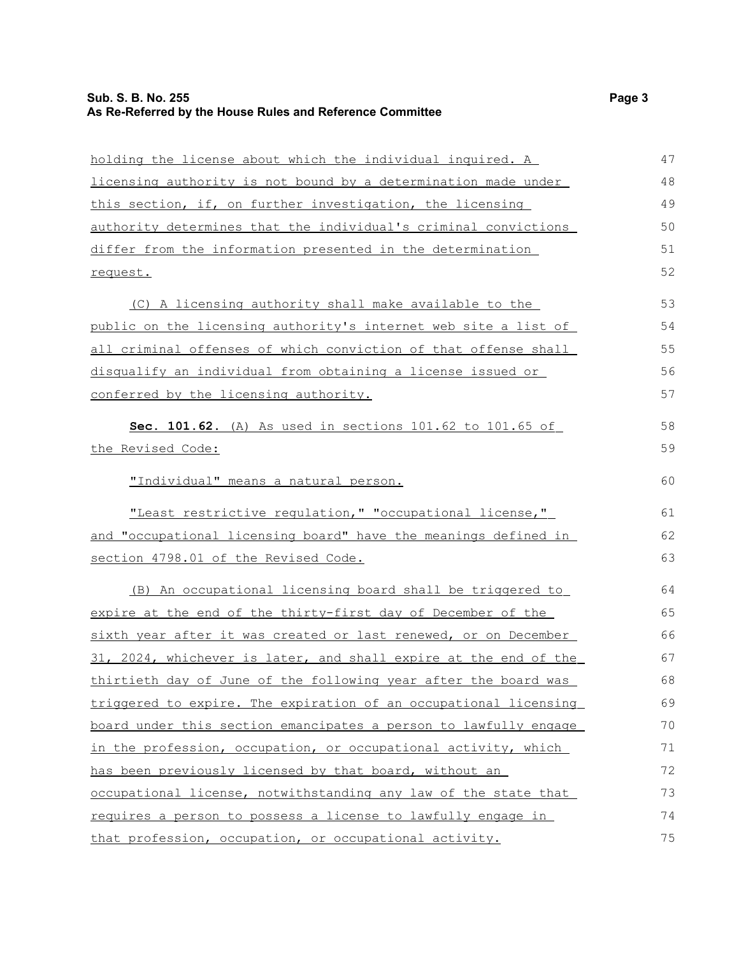| holding the license about which the individual inquired. A             | 47 |
|------------------------------------------------------------------------|----|
| licensing authority is not bound by a determination made under         | 48 |
| this section, if, on further investigation, the licensing              | 49 |
| <u>authority determines that the individual's criminal convictions</u> | 50 |
| differ from the information presented in the determination             | 51 |
| request.                                                               | 52 |
| (C) A licensing authority shall make available to the                  | 53 |
| public on the licensing authority's internet web site a list of        | 54 |
| all criminal offenses of which conviction of that offense shall        | 55 |
| disqualify an individual from obtaining a license issued or            | 56 |
| conferred by the licensing authority.                                  | 57 |
| Sec. 101.62. (A) As used in sections 101.62 to 101.65 of               | 58 |
| the Revised Code:                                                      | 59 |
| "Individual" means a natural person.                                   | 60 |
| "Least restrictive regulation, " "occupational license,"               | 61 |
| and "occupational licensing board" have the meanings defined in        | 62 |
| section 4798.01 of the Revised Code.                                   | 63 |
| (B) An occupational licensing board shall be triggered to              | 64 |
| expire at the end of the thirty-first day of December of the           | 65 |
| sixth year after it was created or last renewed, or on December        | 66 |
| 31, 2024, whichever is later, and shall expire at the end of the       | 67 |
| thirtieth day of June of the following year after the board was        | 68 |
| triggered to expire. The expiration of an occupational licensing       | 69 |
| board under this section emancipates a person to lawfully engage       | 70 |
| in the profession, occupation, or occupational activity, which         | 71 |
| has been previously licensed by that board, without an                 | 72 |
| occupational license, notwithstanding any law of the state that        | 73 |
| requires a person to possess a license to lawfully engage in           | 74 |
| that profession, occupation, or occupational activity.                 | 75 |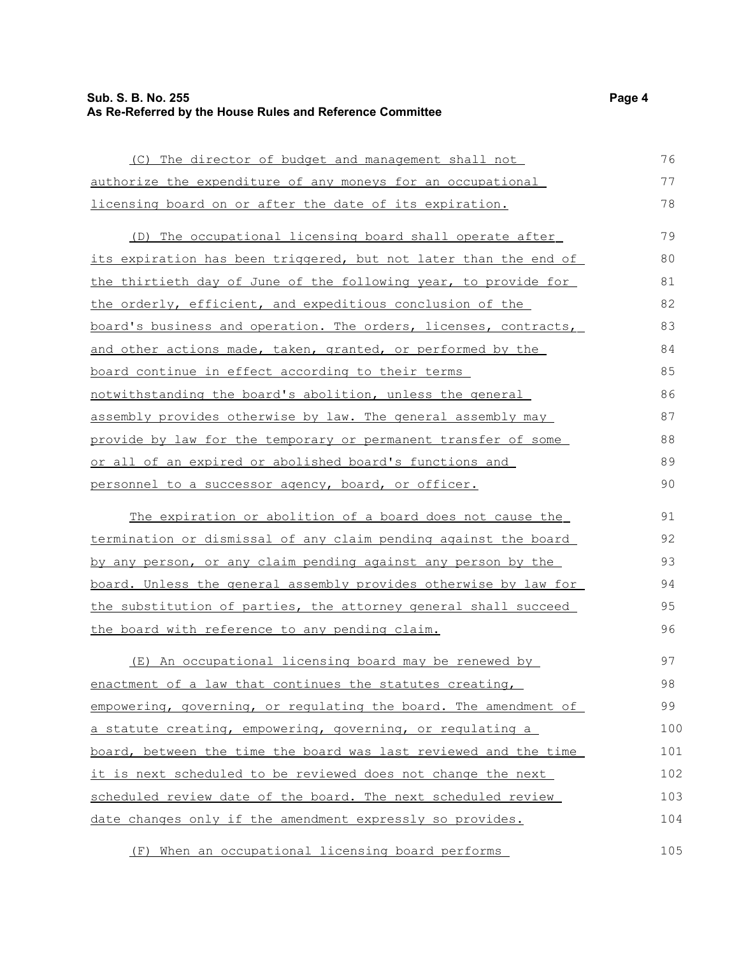#### **Sub. S. B. No. 255 Page 4 As Re-Referred by the House Rules and Reference Committee**

 (C) The director of budget and management shall not authorize the expenditure of any moneys for an occupational licensing board on or after the date of its expiration. 76 77 78

 (D) The occupational licensing board shall operate after its expiration has been triggered, but not later than the end of the thirtieth day of June of the following year, to provide for the orderly, efficient, and expeditious conclusion of the board's business and operation . The orders, licenses, contracts, and other actions made, taken, granted, or performed by the board continue in effect according to their terms notwithstanding the board's abolition, unless the general assembly provides otherwise by law. The general assembly may provide by law for the temporary or permanent transfer of some or all of an expired or abolished board's functions and personnel to a successor agency, board, or officer. 79 80 81 82 83 84 85 86 87 88 89 90

 The expiration or abolition of a board does not cause the termination or dismissal of any claim pending against the board by any person, or any claim pending against any person by the board. Unless the general assembly provides otherwise by law for the substitution of parties, the attorney general shall succeed the board with reference to any pending claim. 91 92 93 94 95 96

(E) An occupational licensing board may be renewed by enactment of a law that continues the statutes creating, empowering, governing, or regulating the board. The amendment of a statute creating, empowering, governing, or regulating a board, between the time the board was last reviewed and the time it is next scheduled to be reviewed does not change the next scheduled review date of the board. The next scheduled review date changes only if the amendment expressly so provides. 97 98 99 100 101 102 103 104

(F) When an occupational licensing board performs 105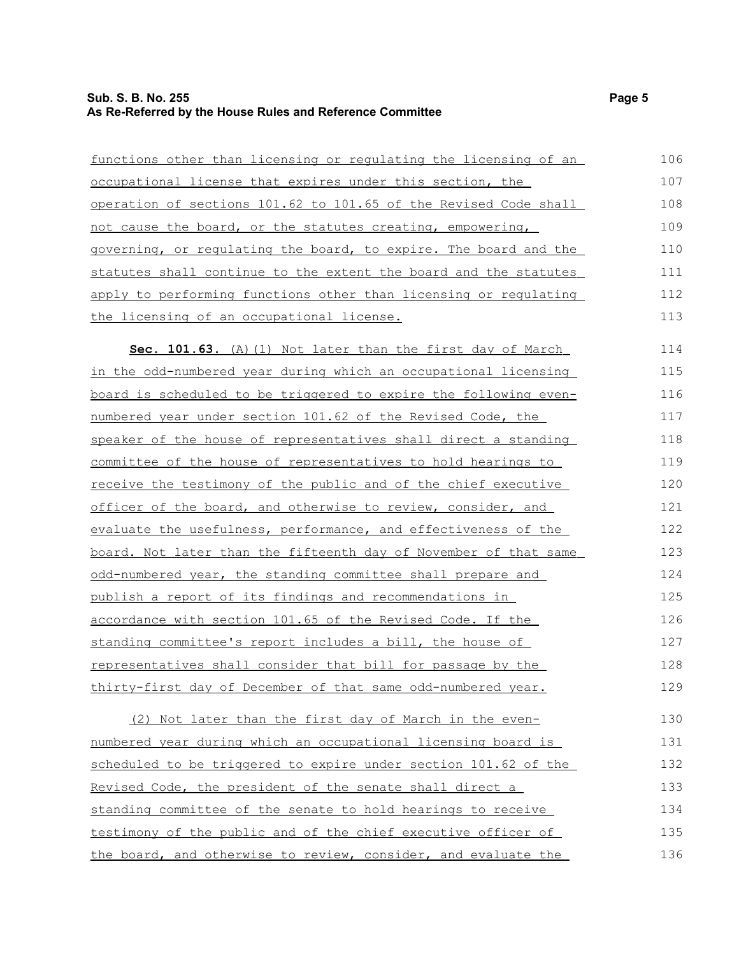#### **Sub. S. B. No. 255 Page 5 As Re-Referred by the House Rules and Reference Committee**

| functions other than licensing or regulating the licensing of an | 106 |
|------------------------------------------------------------------|-----|
| occupational license that expires under this section, the        | 107 |
| operation of sections 101.62 to 101.65 of the Revised Code shall | 108 |
| not cause the board, or the statutes creating, empowering,       | 109 |
| governing, or requlating the board, to expire. The board and the | 110 |
| statutes shall continue to the extent the board and the statutes | 111 |
| apply to performing functions other than licensing or requlating | 112 |
| the licensing of an occupational license.                        | 113 |
| Sec. 101.63. (A) (1) Not later than the first day of March       | 114 |
| in the odd-numbered year during which an occupational licensing  | 115 |
| board is scheduled to be triggered to expire the following even- | 116 |
| numbered year under section 101.62 of the Revised Code, the      | 117 |
| speaker of the house of representatives shall direct a standing  | 118 |
| committee of the house of representatives to hold hearings to    | 119 |
| receive the testimony of the public and of the chief executive   | 120 |
| officer of the board, and otherwise to review, consider, and     | 121 |
| evaluate the usefulness, performance, and effectiveness of the   | 122 |
| board. Not later than the fifteenth day of November of that same | 123 |
| odd-numbered year, the standing committee shall prepare and      | 124 |
| publish a report of its findings and recommendations in          | 125 |
| accordance with section 101.65 of the Revised Code. If the       | 126 |
| standing committee's report includes a bill, the house of        | 127 |
| representatives shall consider that bill for passage by the      | 128 |
| thirty-first day of December of that same odd-numbered year.     | 129 |
| (2) Not later than the first day of March in the even-           | 130 |
| numbered year during which an occupational licensing board is    | 131 |
| scheduled to be triggered to expire under section 101.62 of the  | 132 |
| Revised Code, the president of the senate shall direct a         | 133 |
| standing committee of the senate to hold hearings to receive     | 134 |
| testimony of the public and of the chief executive officer of    | 135 |

the board, and otherwise to review, consider, and evaluate the

135 136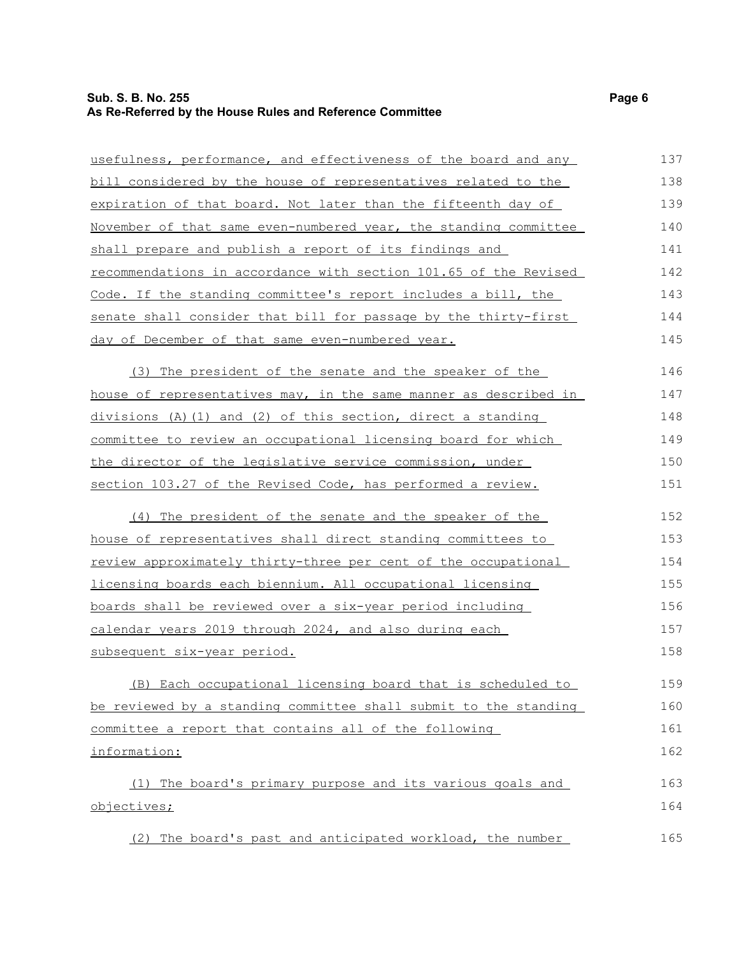## **Sub. S. B. No. 255 Page 6 As Re-Referred by the House Rules and Reference Committee**

| usefulness, performance, and effectiveness of the board and any       | 137 |
|-----------------------------------------------------------------------|-----|
| bill considered by the house of representatives related to the        | 138 |
| expiration of that board. Not later than the fifteenth day of         | 139 |
| November of that same even-numbered year, the standing committee      | 140 |
| shall prepare and publish a report of its findings and                | 141 |
| recommendations in accordance with section 101.65 of the Revised      | 142 |
| Code. If the standing committee's report includes a bill, the         | 143 |
| senate shall consider that bill for passage by the thirty-first       | 144 |
| day of December of that same even-numbered year.                      | 145 |
| (3) The president of the senate and the speaker of the                | 146 |
| house of representatives may, in the same manner as described in      | 147 |
| $divisions$ (A) (1) and (2) of this section, direct a standing        | 148 |
| committee to review an occupational licensing board for which         | 149 |
| the director of the legislative service commission, under             | 150 |
| section 103.27 of the Revised Code, has performed a review.           | 151 |
| (4) The president of the senate and the speaker of the                | 152 |
| <u>house of representatives shall direct standing committees to</u>   | 153 |
| <u>review approximately thirty-three per cent of the occupational</u> | 154 |
| licensing boards each biennium. All occupational licensing            | 155 |
| <u>boards shall be reviewed over a six-year period including</u>      | 156 |
| calendar years 2019 through 2024, and also during each                | 157 |
| subsequent six-year period.                                           | 158 |
| (B) Each occupational licensing board that is scheduled to            | 159 |
| be reviewed by a standing committee shall submit to the standing      | 160 |
| committee a report that contains all of the following                 | 161 |
| information:                                                          | 162 |
| The board's primary purpose and its various goals and<br>(1)          | 163 |
| objectives;                                                           | 164 |
| (2) The board's past and anticipated workload, the number             | 165 |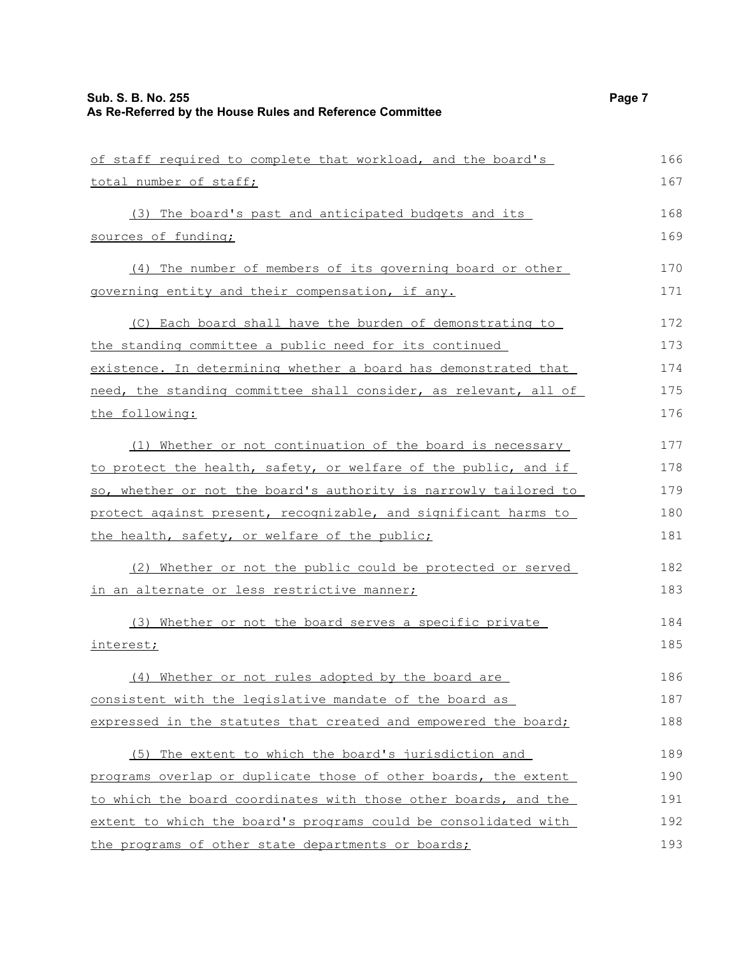| of staff required to complete that workload, and the board's     | 166 |
|------------------------------------------------------------------|-----|
| total number of staff;                                           | 167 |
| (3) The board's past and anticipated budgets and its             | 168 |
| sources of funding;                                              | 169 |
| (4) The number of members of its governing board or other        | 170 |
| governing entity and their compensation, if any.                 | 171 |
| (C) Each board shall have the burden of demonstrating to         | 172 |
| the standing committee a public need for its continued           | 173 |
| existence. In determining whether a board has demonstrated that  | 174 |
| need, the standing committee shall consider, as relevant, all of | 175 |
| the following:                                                   | 176 |
| (1) Whether or not continuation of the board is necessary        | 177 |
| to protect the health, safety, or welfare of the public, and if  | 178 |
| so, whether or not the board's authority is narrowly tailored to | 179 |
| protect against present, recognizable, and significant harms to  | 180 |
| the health, safety, or welfare of the public;                    | 181 |
| (2) Whether or not the public could be protected or served       | 182 |
| in an alternate or less restrictive manner;                      | 183 |
| (3) Whether or not the board serves a specific private           | 184 |
| interest;                                                        | 185 |
| (4) Whether or not rules adopted by the board are                | 186 |
| consistent with the legislative mandate of the board as          | 187 |
| expressed in the statutes that created and empowered the board;  | 188 |
| (5) The extent to which the board's jurisdiction and             | 189 |
| programs overlap or duplicate those of other boards, the extent  | 190 |
| to which the board coordinates with those other boards, and the  | 191 |
| extent to which the board's programs could be consolidated with  | 192 |
| the programs of other state departments or boards;               | 193 |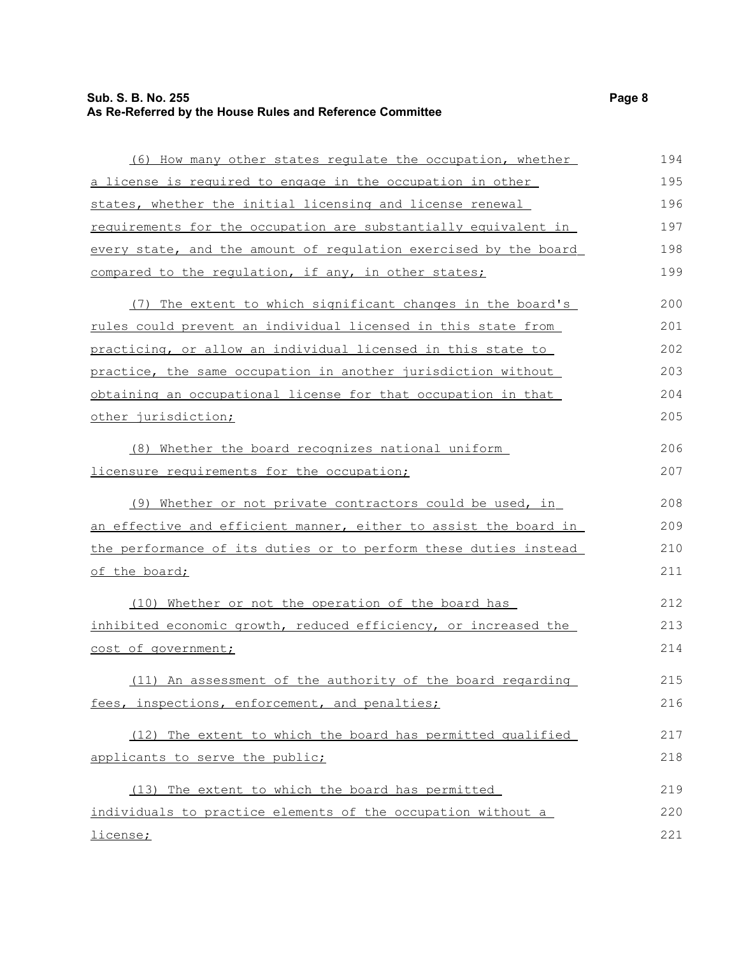## **Sub. S. B. No. 255 Page 8 As Re-Referred by the House Rules and Reference Committee**

| (6) How many other states regulate the occupation, whether       | 194 |
|------------------------------------------------------------------|-----|
| a license is required to engage in the occupation in other       | 195 |
| states, whether the initial licensing and license renewal        | 196 |
| requirements for the occupation are substantially equivalent in  | 197 |
| every state, and the amount of regulation exercised by the board | 198 |
| compared to the requlation, if any, in other states;             | 199 |
| (7) The extent to which significant changes in the board's       | 200 |
| rules could prevent an individual licensed in this state from    | 201 |
| practicing, or allow an individual licensed in this state to     | 202 |
| practice, the same occupation in another jurisdiction without    | 203 |
| obtaining an occupational license for that occupation in that    | 204 |
| other jurisdiction;                                              | 205 |
| (8) Whether the board recognizes national uniform                | 206 |
| licensure requirements for the occupation;                       | 207 |
| (9) Whether or not private contractors could be used, in         | 208 |
| an effective and efficient manner, either to assist the board in | 209 |
| the performance of its duties or to perform these duties instead | 210 |
| of the board;                                                    | 211 |
| (10) Whether or not the operation of the board has               | 212 |
| inhibited economic growth, reduced efficiency, or increased the  | 213 |
| cost of government;                                              | 214 |
| (11) An assessment of the authority of the board regarding       | 215 |
| fees, inspections, enforcement, and penalties;                   | 216 |
| (12) The extent to which the board has permitted qualified       | 217 |
| applicants to serve the public;                                  | 218 |
| (13) The extent to which the board has permitted                 | 219 |
| individuals to practice elements of the occupation without a     | 220 |
| license;                                                         | 221 |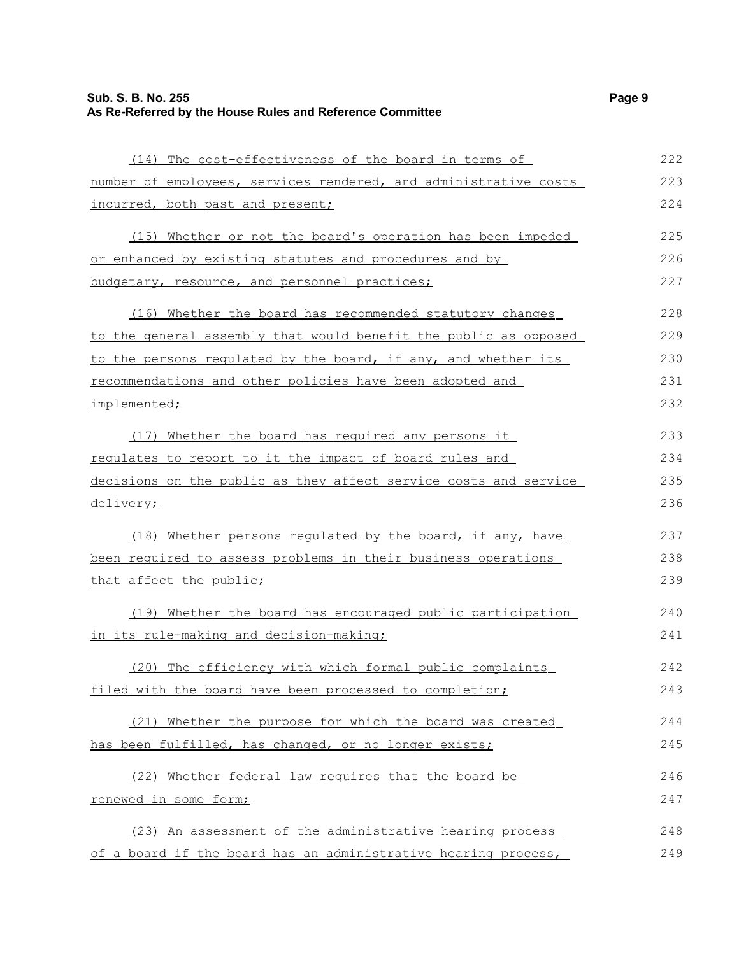| (14) The cost-effectiveness of the board in terms of             | 222 |
|------------------------------------------------------------------|-----|
| number of employees, services rendered, and administrative costs | 223 |
| incurred, both past and present;                                 | 224 |
| (15) Whether or not the board's operation has been impeded       | 225 |
| or enhanced by existing statutes and procedures and by           | 226 |
| budgetary, resource, and personnel practices;                    | 227 |
| (16) Whether the board has recommended statutory changes         | 228 |
| to the general assembly that would benefit the public as opposed | 229 |
| to the persons requlated by the board, if any, and whether its   | 230 |
| recommendations and other policies have been adopted and         | 231 |
| implemented;                                                     | 232 |
|                                                                  |     |

 (17) Whether the board has required any persons it regulates to report to it the impact of board rules and decisions on the public as they affect service costs and service delivery; 233 234 235 236

 (18) Whether persons regulated by the board, if any, have been required to assess problems in their business operations that affect the public; 237 238 239

 (19) Whether the board has encouraged public participation in its rule-making and decision-making;

 (20) The efficiency with which formal public complaints filed with the board have been processed to completion; 242 243

 (21) Whether the purpose for which the board was created has been fulfilled, has changed, or no longer exists; 244 245

 (22) Whether federal law requires that the board be renewed in some form; 246 247

 (23) An assessment of the administrative hearing process of a board if the board has an administrative hearing process, 248 249

240 241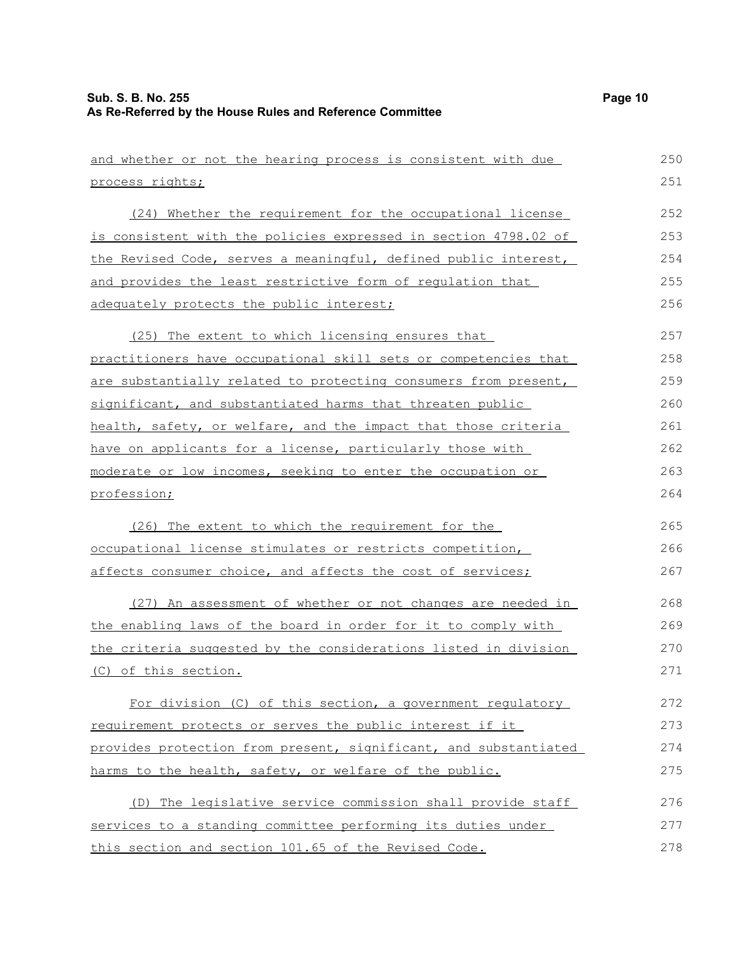| and whether or not the hearing process is consistent with due    | 250 |
|------------------------------------------------------------------|-----|
| process rights;                                                  | 251 |
| (24) Whether the requirement for the occupational license        | 252 |
| is consistent with the policies expressed in section 4798.02 of  | 253 |
| the Revised Code, serves a meaningful, defined public interest,  | 254 |
| and provides the least restrictive form of regulation that       | 255 |
| adequately protects the public interest;                         | 256 |
| (25) The extent to which licensing ensures that                  | 257 |
| practitioners have occupational skill sets or competencies that  | 258 |
| are substantially related to protecting consumers from present,  | 259 |
| significant, and substantiated harms that threaten public        | 260 |
| health, safety, or welfare, and the impact that those criteria   | 261 |
| have on applicants for a license, particularly those with        | 262 |
| moderate or low incomes, seeking to enter the occupation or      | 263 |
| profession;                                                      | 264 |
| (26) The extent to which the requirement for the                 | 265 |
| occupational license stimulates or restricts competition,        | 266 |
| affects consumer choice, and affects the cost of services;       | 267 |
| (27) An assessment of whether or not changes are needed in       | 268 |
| the enabling laws of the board in order for it to comply with    | 269 |
| the criteria suggested by the considerations listed in division  | 270 |
| (C) of this section.                                             | 271 |
| For division (C) of this section, a government regulatory        | 272 |
| requirement protects or serves the public interest if it         | 273 |
| provides protection from present, significant, and substantiated | 274 |
| harms to the health, safety, or welfare of the public.           | 275 |
| (D) The legislative service commission shall provide staff       | 276 |
| services to a standing committee performing its duties under     | 277 |
| this section and section 101.65 of the Revised Code.             | 278 |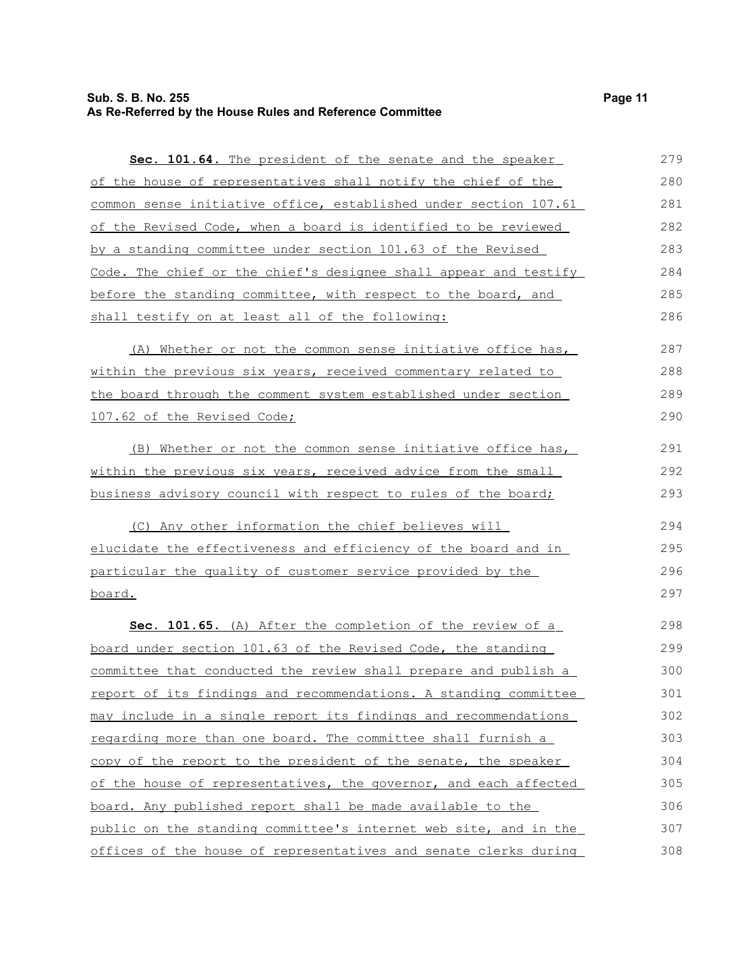| Sec. 101.64. The president of the senate and the speaker              | 279 |
|-----------------------------------------------------------------------|-----|
| of the house of representatives shall notify the chief of the         | 280 |
| common sense initiative office, established under section 107.61      | 281 |
| of the Revised Code, when a board is identified to be reviewed        | 282 |
| by a standing committee under section 101.63 of the Revised           | 283 |
| Code. The chief or the chief's designee shall appear and testify      | 284 |
| before the standing committee, with respect to the board, and         | 285 |
| shall testify on at least all of the following:                       | 286 |
| (A) Whether or not the common sense initiative office has,            | 287 |
| <u>within the previous six years, received commentary related to</u>  | 288 |
| the board through the comment system established under section        | 289 |
| 107.62 of the Revised Code;                                           | 290 |
| (B) Whether or not the common sense initiative office has,            | 291 |
| within the previous six years, received advice from the small         | 292 |
| business advisory council with respect to rules of the board;         | 293 |
| (C) Any other information the chief believes will                     | 294 |
| <u>elucidate the effectiveness and efficiency of the board and in</u> | 295 |
| particular the quality of customer service provided by the            | 296 |
| <u>board.</u>                                                         | 297 |
| Sec. 101.65. (A) After the completion of the review of a              | 298 |
| board under section 101.63 of the Revised Code, the standing          | 299 |
| committee that conducted the review shall prepare and publish a       | 300 |
| report of its findings and recommendations. A standing committee      | 301 |
| may include in a single report its findings and recommendations       | 302 |
| regarding more than one board. The committee shall furnish a          | 303 |
| copy of the report to the president of the senate, the speaker        | 304 |
| of the house of representatives, the governor, and each affected      | 305 |
| board. Any published report shall be made available to the            | 306 |
| public on the standing committee's internet web site, and in the      | 307 |
| offices of the house of representatives and senate clerks during      | 308 |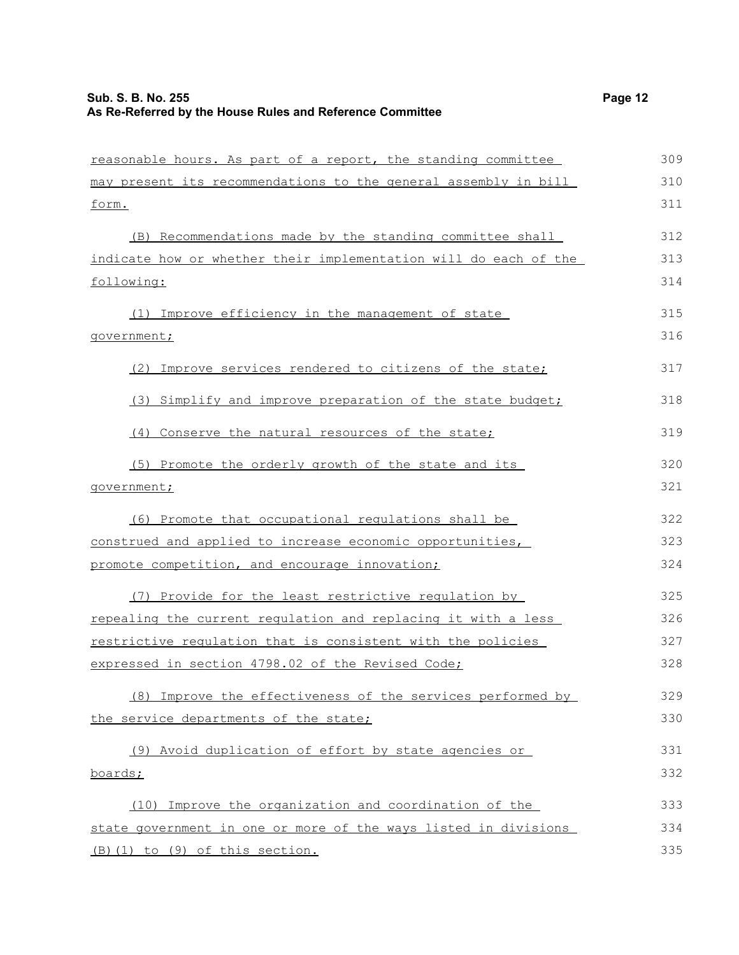| reasonable hours. As part of a report, the standing committee    | 309 |
|------------------------------------------------------------------|-----|
| may present its recommendations to the general assembly in bill  | 310 |
| <u>form.</u>                                                     | 311 |
| (B) Recommendations made by the standing committee shall         | 312 |
| indicate how or whether their implementation will do each of the | 313 |
| following:                                                       | 314 |
| (1) Improve efficiency in the management of state                | 315 |
| government;                                                      | 316 |
| (2) Improve services rendered to citizens of the state;          | 317 |
| (3) Simplify and improve preparation of the state budget;        | 318 |
| (4) Conserve the natural resources of the state;                 | 319 |
| (5) Promote the orderly growth of the state and its              | 320 |
| government;                                                      | 321 |
| (6) Promote that occupational regulations shall be               | 322 |
| construed and applied to increase economic opportunities,        | 323 |
| promote competition, and encourage innovation;                   | 324 |
| (7) Provide for the least restrictive regulation by              | 325 |
| repealing the current regulation and replacing it with a less    | 326 |
| restrictive regulation that is consistent with the policies      | 327 |
| expressed in section 4798.02 of the Revised Code;                | 328 |
| (8) Improve the effectiveness of the services performed by       | 329 |
| the service departments of the state;                            | 330 |
| (9) Avoid duplication of effort by state agencies or             | 331 |
| boards;                                                          | 332 |
| (10) Improve the organization and coordination of the            | 333 |
| state government in one or more of the ways listed in divisions  | 334 |
| (B) (1) to (9) of this section.                                  | 335 |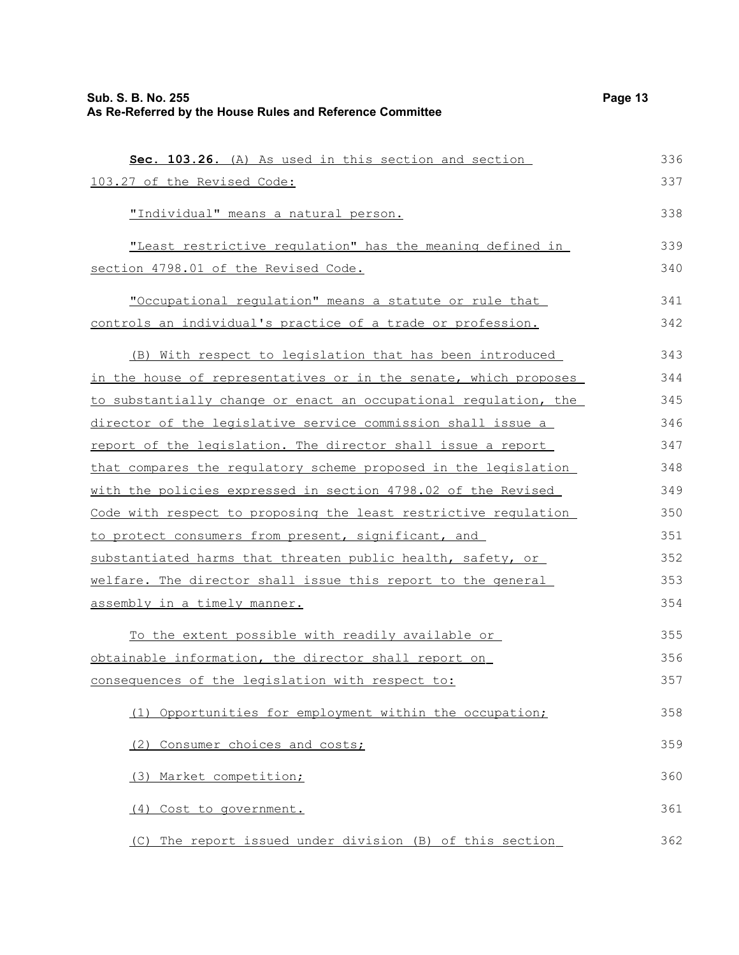| Sec. 103.26. (A) As used in this section and section             | 336 |
|------------------------------------------------------------------|-----|
| 103.27 of the Revised Code:                                      | 337 |
| "Individual" means a natural person.                             | 338 |
| "Least restrictive regulation" has the meaning defined in        | 339 |
| section 4798.01 of the Revised Code.                             | 340 |
| "Occupational requlation" means a statute or rule that           | 341 |
| controls an individual's practice of a trade or profession.      | 342 |
| (B) With respect to legislation that has been introduced         | 343 |
| in the house of representatives or in the senate, which proposes | 344 |
| to substantially change or enact an occupational regulation, the | 345 |
| director of the legislative service commission shall issue a     | 346 |
| report of the legislation. The director shall issue a report     | 347 |
| that compares the regulatory scheme proposed in the legislation  | 348 |
| with the policies expressed in section 4798.02 of the Revised    | 349 |
| Code with respect to proposing the least restrictive requlation  | 350 |
| to protect consumers from present, significant, and              | 351 |
| substantiated harms that threaten public health, safety, or      | 352 |
| welfare. The director shall issue this report to the general     | 353 |
| assembly in a timely manner.                                     | 354 |
| To the extent possible with readily available or                 | 355 |
| obtainable information, the director shall report on             | 356 |
| consequences of the legislation with respect to:                 | 357 |
| (1) Opportunities for employment within the occupation;          | 358 |
| (2) Consumer choices and costs;                                  | 359 |
| (3) Market competition;                                          | 360 |
| (4) Cost to government.                                          | 361 |
| (C) The report issued under division (B) of this section         | 362 |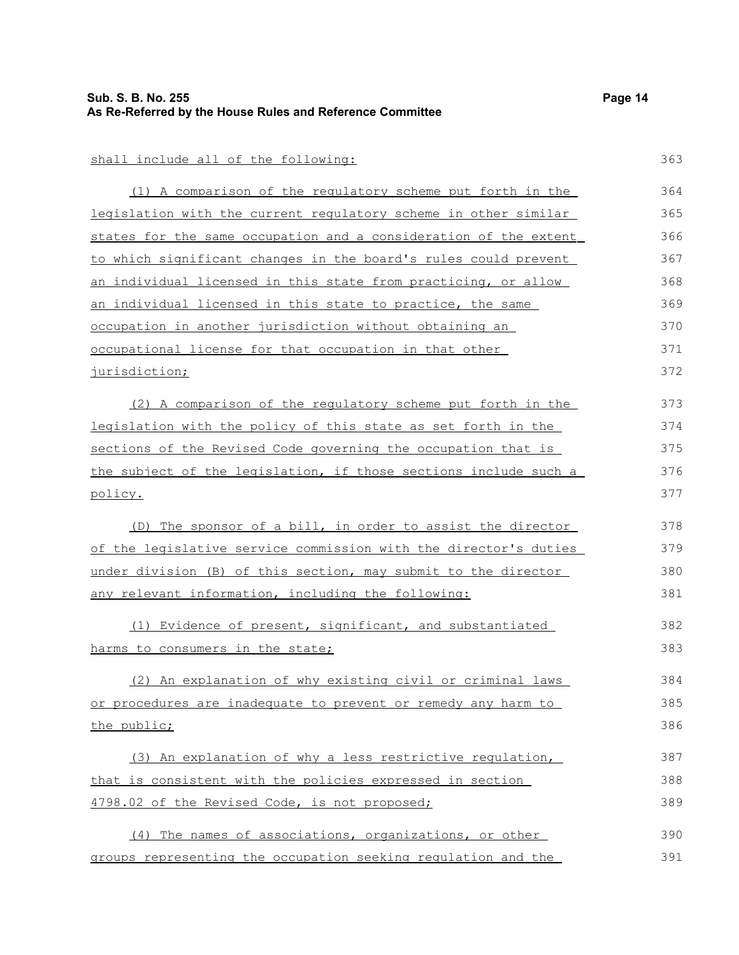| Sub. S. B. No. 255<br>As Re-Referred by the House Rules and Reference Committee | Page 14 |
|---------------------------------------------------------------------------------|---------|
|                                                                                 |         |
| shall include all of the following:                                             | 363     |
| (1) A comparison of the regulatory scheme put forth in the                      | 364     |
| legislation with the current regulatory scheme in other similar                 | 365     |
| states for the same occupation and a consideration of the extent                | 366     |
| to which significant changes in the board's rules could prevent                 | 367     |
| an individual licensed in this state from practicing, or allow                  | 368     |
| an individual licensed in this state to practice, the same                      | 369     |
| occupation in another jurisdiction without obtaining an                         | 370     |
| occupational license for that occupation in that other                          | 371     |
| jurisdiction;                                                                   | 372     |
| (2) A comparison of the regulatory scheme put forth in the                      | 373     |
| legislation with the policy of this state as set forth in the                   | 374     |
| sections of the Revised Code governing the occupation that is                   | 375     |
| the subject of the legislation, if those sections include such a                | 376     |
| policy.                                                                         | 377     |
| (D) The sponsor of a bill, in order to assist the director                      | 378     |
| of the legislative service commission with the director's duties                | 379     |
| under division (B) of this section, may submit to the director                  | 380     |
| any relevant information, including the following:                              | 381     |
| (1) Evidence of present, significant, and substantiated                         | 382     |
| harms to consumers in the state;                                                | 383     |
| (2) An explanation of why existing civil or criminal laws                       | 384     |
| or procedures are inadequate to prevent or remedy any harm to                   | 385     |
| the public;                                                                     | 386     |
| (3) An explanation of why a less restrictive requlation,                        | 387     |
| that is consistent with the policies expressed in section                       | 388     |
| 4798.02 of the Revised Code, is not proposed;                                   | 389     |
| (4) The names of associations, organizations, or other                          | 390     |
| groups representing the occupation seeking regulation and the                   | 391     |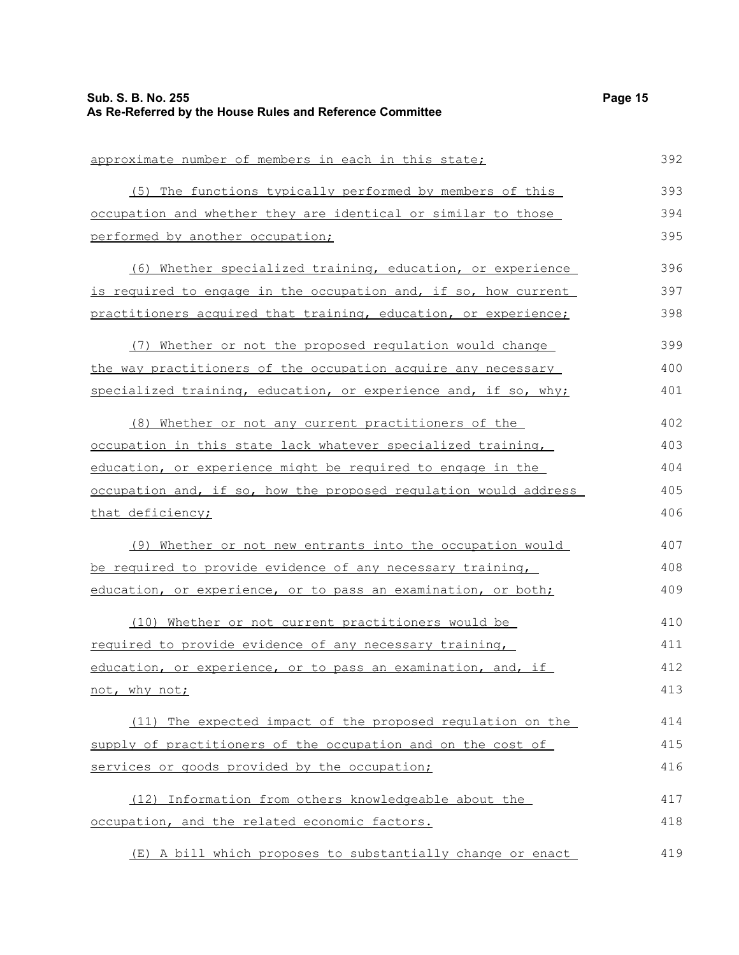| Sub. S. B. No. 255<br>As Re-Referred by the House Rules and Reference Committee | Page 15 |
|---------------------------------------------------------------------------------|---------|
|                                                                                 |         |
| approximate number of members in each in this state;                            | 392     |
| (5) The functions typically performed by members of this                        | 393     |
| occupation and whether they are identical or similar to those                   | 394     |
| performed by another occupation;                                                | 395     |
| (6) Whether specialized training, education, or experience                      | 396     |
| is required to engage in the occupation and, if so, how current                 | 397     |
| practitioners acquired that training, education, or experience;                 | 398     |
| (7) Whether or not the proposed regulation would change                         | 399     |
| the way practitioners of the occupation acquire any necessary                   | 400     |
| specialized training, education, or experience and, if so, why;                 | 401     |
| (8) Whether or not any current practitioners of the                             | 402     |
| occupation in this state lack whatever specialized training,                    | 403     |
| education, or experience might be required to engage in the                     | 404     |
| occupation and, if so, how the proposed requlation would address                | 405     |
| that deficiency;                                                                | 406     |
| (9) Whether or not new entrants into the occupation would                       | 407     |
| be required to provide evidence of any necessary training,                      | 408     |
| education, or experience, or to pass an examination, or both;                   | 409     |
| (10) Whether or not current practitioners would be                              | 410     |
| required to provide evidence of any necessary training,                         | 411     |
| education, or experience, or to pass an examination, and, if                    | 412     |
| not, why not;                                                                   | 413     |
| (11) The expected impact of the proposed regulation on the                      | 414     |
| supply of practitioners of the occupation and on the cost of                    | 415     |
| services or goods provided by the occupation;                                   | 416     |
| (12) Information from others knowledgeable about the                            | 417     |
| occupation, and the related economic factors.                                   | 418     |
| (E) A bill which proposes to substantially change or enact                      | 419     |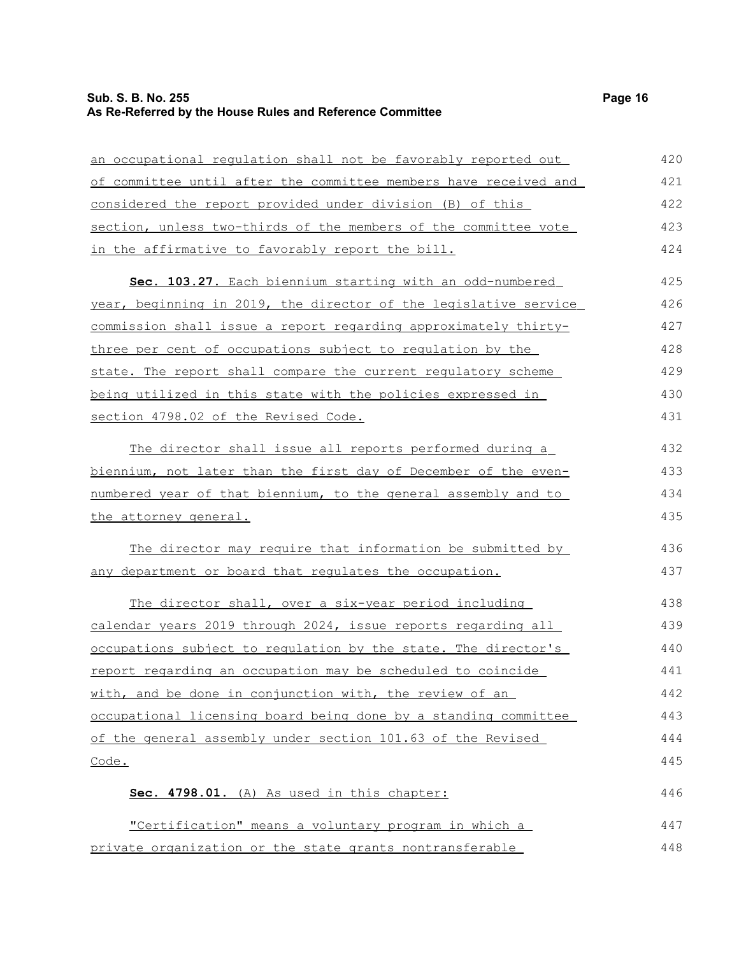## **Sub. S. B. No. 255 Page 16 As Re-Referred by the House Rules and Reference Committee**

| an occupational regulation shall not be favorably reported out   | 420 |
|------------------------------------------------------------------|-----|
| of committee until after the committee members have received and | 421 |
| considered the report provided under division (B) of this        | 422 |
| section, unless two-thirds of the members of the committee vote  | 423 |
| in the affirmative to favorably report the bill.                 | 424 |
| Sec. 103.27. Each biennium starting with an odd-numbered         | 425 |
| year, beginning in 2019, the director of the legislative service | 426 |
| commission shall issue a report regarding approximately thirty-  | 427 |
| three per cent of occupations subject to requlation by the       | 428 |
| state. The report shall compare the current regulatory scheme    | 429 |
| being utilized in this state with the policies expressed in      | 430 |
| section 4798.02 of the Revised Code.                             | 431 |
| The director shall issue all reports performed during a          | 432 |
| biennium, not later than the first day of December of the even-  | 433 |
| numbered year of that biennium, to the general assembly and to   | 434 |
| the attorney general.                                            | 435 |
| The director may require that information be submitted by        | 436 |
| any department or board that regulates the occupation.           | 437 |
| The director shall, over a six-year period including             | 438 |
| calendar years 2019 through 2024, issue reports regarding all    | 439 |
| occupations subject to regulation by the state. The director's   | 440 |
| report regarding an occupation may be scheduled to coincide      | 441 |
| with, and be done in conjunction with, the review of an          | 442 |
| occupational licensing board being done by a standing committee  | 443 |
| of the general assembly under section 101.63 of the Revised      | 444 |
| <u>Code.</u>                                                     | 445 |
| Sec. 4798.01. (A) As used in this chapter:                       | 446 |
| "Certification" means a voluntary program in which a             | 447 |
| private organization or the state grants nontransferable         | 448 |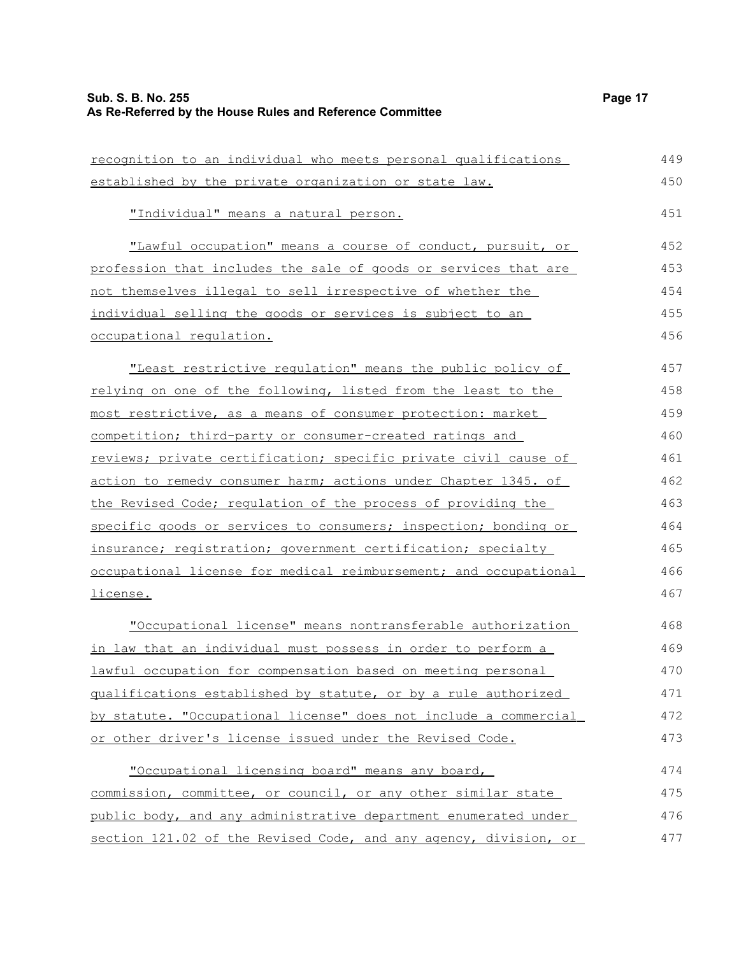| recognition to an individual who meets personal qualifications   | 449 |
|------------------------------------------------------------------|-----|
| established by the private organization or state law.            | 450 |
| "Individual" means a natural person.                             | 451 |
| "Lawful occupation" means a course of conduct, pursuit, or       | 452 |
| profession that includes the sale of goods or services that are  | 453 |
| not themselves illegal to sell irrespective of whether the       | 454 |
| individual selling the goods or services is subject to an        | 455 |
| occupational regulation.                                         | 456 |
| "Least restrictive regulation" means the public policy of        | 457 |
| relying on one of the following, listed from the least to the    | 458 |
| most restrictive, as a means of consumer protection: market      | 459 |
| competition; third-party or consumer-created ratings and         | 460 |
| reviews; private certification; specific private civil cause of  | 461 |
| action to remedy consumer harm; actions under Chapter 1345. of   | 462 |
| the Revised Code; requlation of the process of providing the     | 463 |
| specific goods or services to consumers; inspection; bonding or  | 464 |
| insurance; registration; government certification; specialty     | 465 |
| occupational license for medical reimbursement; and occupational | 466 |
| <u>license.</u>                                                  | 467 |
| "Occupational license" means nontransferable authorization       | 468 |
| in law that an individual must possess in order to perform a     | 469 |
| lawful occupation for compensation based on meeting personal     | 470 |
| qualifications established by statute, or by a rule authorized   | 471 |
| by statute. "Occupational license" does not include a commercial | 472 |
| or other driver's license issued under the Revised Code.         | 473 |
| "Occupational licensing board" means any board,                  | 474 |
| commission, committee, or council, or any other similar state    | 475 |
| public body, and any administrative department enumerated under  | 476 |
| section 121.02 of the Revised Code, and any agency, division, or | 477 |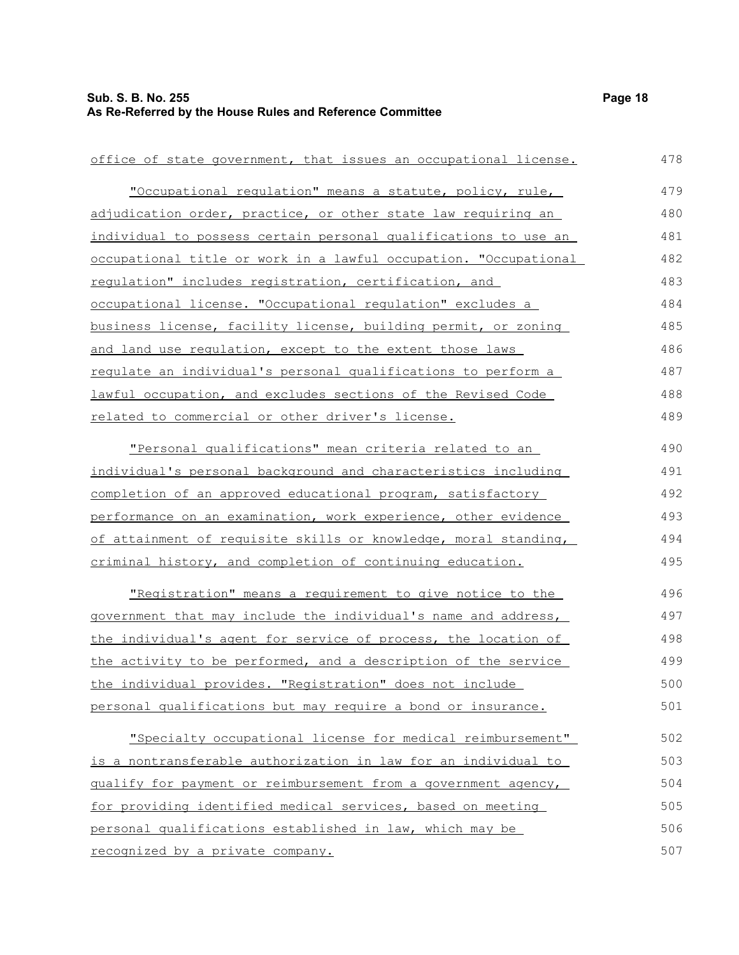| office of state government, that issues an occupational license. | 478 |
|------------------------------------------------------------------|-----|
| "Occupational regulation" means a statute, policy, rule,         | 479 |
| adjudication order, practice, or other state law requiring an    | 480 |
| individual to possess certain personal qualifications to use an  | 481 |
| occupational title or work in a lawful occupation. "Occupational | 482 |
| regulation" includes registration, certification, and            | 483 |
| occupational license. "Occupational requlation" excludes a       | 484 |
| business license, facility license, building permit, or zoning   | 485 |
| and land use regulation, except to the extent those laws         | 486 |
| requlate an individual's personal qualifications to perform a    | 487 |
| lawful occupation, and excludes sections of the Revised Code     | 488 |
| related to commercial or other driver's license.                 | 489 |
| "Personal qualifications" mean criteria related to an            | 490 |
| individual's personal background and characteristics including   | 491 |
|                                                                  | 492 |
| completion of an approved educational program, satisfactory      |     |
| performance on an examination, work experience, other evidence   | 493 |
| of attainment of requisite skills or knowledge, moral standing,  | 494 |
| criminal history, and completion of continuing education.        | 495 |
| "Registration" means a requirement to give notice to the         | 496 |
| government that may include the individual's name and address,   | 497 |
| the individual's agent for service of process, the location of   | 498 |
| the activity to be performed, and a description of the service   | 499 |
| the individual provides. "Registration" does not include         | 500 |
| personal qualifications but may require a bond or insurance.     | 501 |
| "Specialty occupational license for medical reimbursement"       | 502 |
| is a nontransferable authorization in law for an individual to   | 503 |
| qualify for payment or reimbursement from a government agency,   | 504 |
| for providing identified medical services, based on meeting      | 505 |
| personal qualifications established in law, which may be         | 506 |
| recognized by a private company.                                 | 507 |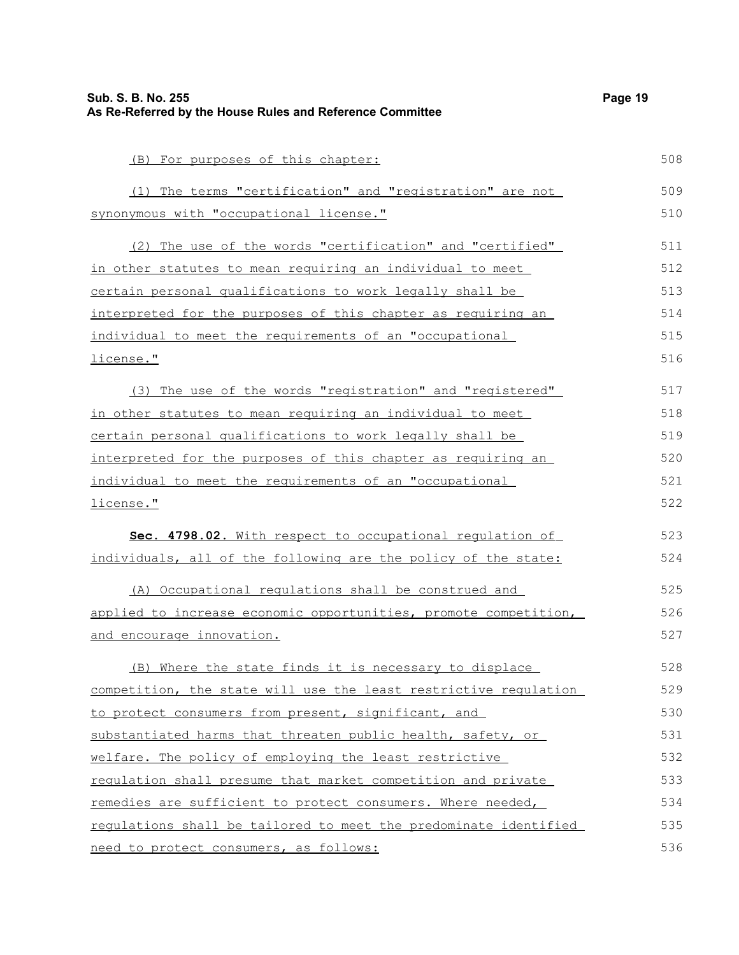| Sub. S. B. No. 255<br>As Re-Referred by the House Rules and Reference Committee | Page 19 |
|---------------------------------------------------------------------------------|---------|
| (B) For purposes of this chapter:                                               | 508     |
| (1) The terms "certification" and "registration" are not                        | 509     |
| synonymous with "occupational license."                                         | 510     |
| (2) The use of the words "certification" and "certified"                        | 511     |
| in other statutes to mean requiring an individual to meet                       | 512     |
| certain personal qualifications to work legally shall be                        | 513     |
| interpreted for the purposes of this chapter as requiring an                    | 514     |
| individual to meet the requirements of an "occupational                         | 515     |
| license."                                                                       | 516     |
| (3) The use of the words "reqistration" and "registered"                        | 517     |
| in other statutes to mean requiring an individual to meet                       | 518     |
| <u>certain personal qualifications to work legally shall be</u>                 | 519     |
| <u>interpreted for the purposes of this chapter as requiring an</u>             | 520     |
| individual to meet the requirements of an "occupational                         | 521     |
| license."                                                                       | 522     |
| Sec. 4798.02. With respect to occupational regulation of                        | 523     |
| individuals, all of the following are the policy of the state:                  | 524     |
| (A) Occupational regulations shall be construed and                             | 525     |
| applied to increase economic opportunities, promote competition,                | 526     |
| and encourage innovation.                                                       | 527     |
| (B) Where the state finds it is necessary to displace                           | 528     |
| competition, the state will use the least restrictive regulation                | 529     |
| to protect consumers from present, significant, and                             | 530     |
| substantiated harms that threaten public health, safety, or                     | 531     |
| welfare. The policy of employing the least restrictive                          | 532     |
| requlation shall presume that market competition and private                    | 533     |
| remedies are sufficient to protect consumers. Where needed,                     | 534     |
| requlations shall be tailored to meet the predominate identified                | 535     |
| need to protect consumers, as follows:                                          | 536     |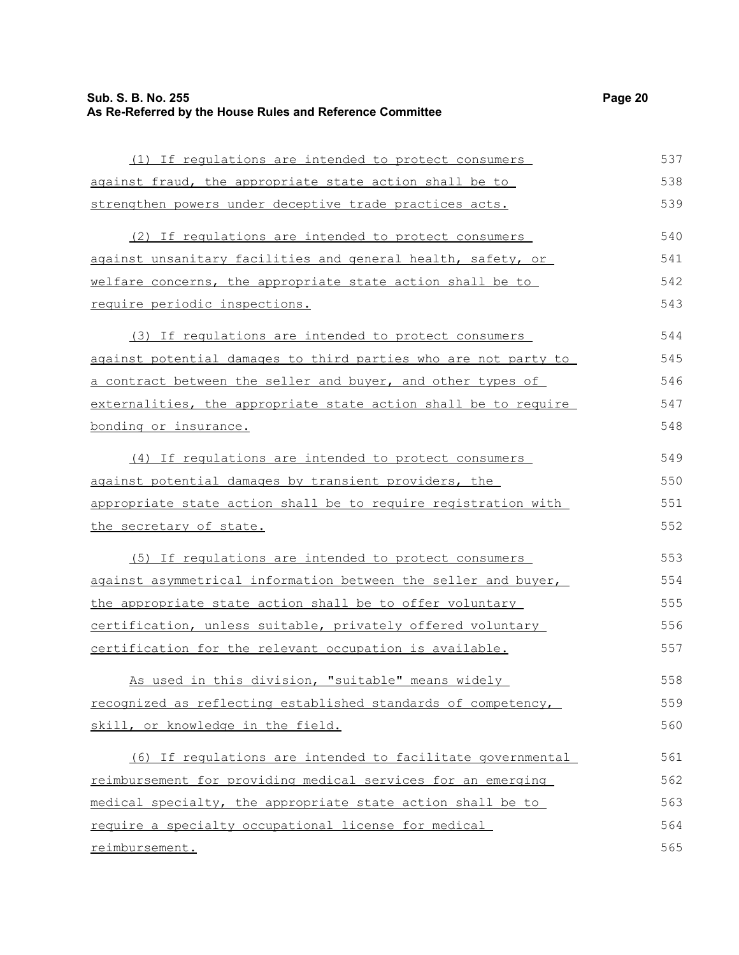| (1) If requlations are intended to protect consumers                 | 537 |
|----------------------------------------------------------------------|-----|
| against fraud, the appropriate state action shall be to              | 538 |
| strengthen powers under deceptive trade practices acts.              | 539 |
| (2) If regulations are intended to protect consumers                 | 540 |
| <u>against unsanitary facilities and general health, safety, or </u> | 541 |
| welfare concerns, the appropriate state action shall be to           | 542 |
| require periodic inspections.                                        | 543 |
| (3) If regulations are intended to protect consumers                 | 544 |
| against potential damages to third parties who are not party to      | 545 |
| a contract between the seller and buyer, and other types of          | 546 |
| externalities, the appropriate state action shall be to require      | 547 |
| bonding or insurance.                                                | 548 |
| (4) If regulations are intended to protect consumers                 | 549 |
| against potential damages by transient providers, the                | 550 |
| appropriate state action shall be to require registration with       | 551 |
| the secretary of state.                                              | 552 |
| (5) If requlations are intended to protect consumers                 | 553 |
| against asymmetrical information between the seller and buyer,       | 554 |
| the appropriate state action shall be to offer voluntary             | 555 |
| certification, unless suitable, privately offered voluntary          | 556 |
| certification for the relevant occupation is available.              | 557 |
| As used in this division, "suitable" means widely                    | 558 |
| recognized as reflecting established standards of competency,        | 559 |
| skill, or knowledge in the field.                                    | 560 |
| (6) If regulations are intended to facilitate governmental           | 561 |
| reimbursement for providing medical services for an emerging         | 562 |
| medical specialty, the appropriate state action shall be to          | 563 |
| require a specialty occupational license for medical                 | 564 |
| reimbursement.                                                       | 565 |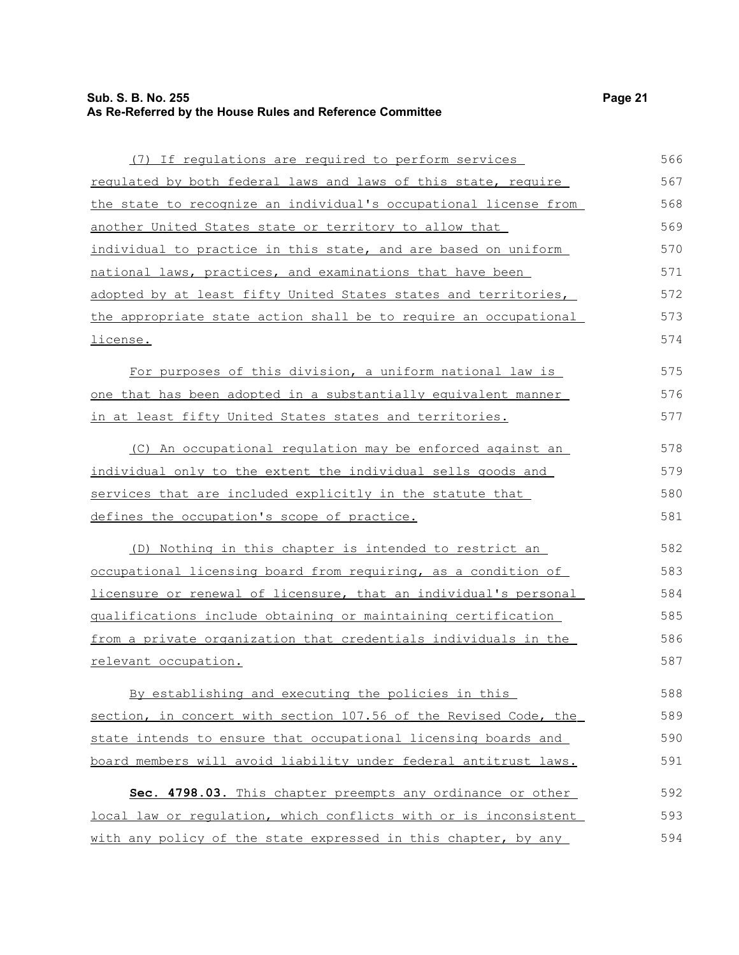(7) If regulations are required to perform services regulated by both federal laws and laws of this state, require the state to recognize an individual's occupational license from another United States state or territory to allow that individual to practice in this state, and are based on uniform national laws, practices, and examinations that have been adopted by at least fifty United States states and territories, the appropriate state action shall be to require an occupational license. For purposes of this division, a uniform national law is one that has been adopted in a substantially equivalent manner in at least fifty United States states and territories. (C) An occupational regulation may be enforced against an individual only to the extent the individual sells goods and services that are included explicitly in the statute that defines the occupation's scope of practice. (D) Nothing in this chapter is intended to restrict an occupational licensing board from requiring, as a condition of licensure or renewal of licensure, that an individual's personal qualifications include obtaining or maintaining certification from a private organization that credentials individuals in the relevant occupation. By establishing and executing the policies in this section, in concert with section 107.56 of the Revised Code, the state intends to ensure that occupational licensing boards and board members will avoid liability under federal antitrust laws. **Sec. 4798.03.** This chapter preempts any ordinance or other local law or regulation, which conflicts with or is inconsistent with any policy of the state expressed in this chapter, by any 566 567 568 569 570 571 572 573 574 575 576 577 578 579 580 581 582 583 584 585 586 587 588 589 590 591 592 593 594